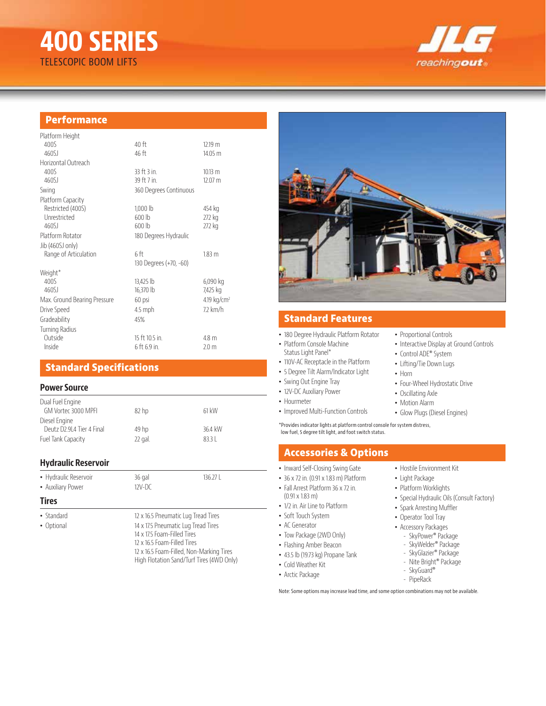# **400 SERIES** TELESCOPIC BOOM LIFTS



## **Performance**

| 40 ft                  | 1219 m            |
|------------------------|-------------------|
| 46 ft                  | 14.05 m           |
|                        |                   |
| 33 ft 3 in             | 10.13 m           |
| 39 ft 7 in.            | 12.07 m           |
| 360 Degrees Continuous |                   |
|                        |                   |
| $1,000$ lb             | 454 kg            |
| 600 lb                 | 272 kg            |
| 600 lb                 | 272 kg            |
| 180 Degrees Hydraulic  |                   |
|                        |                   |
| 6 ft                   | 1.83 <sub>m</sub> |
| 130 Degrees (+70, -60) |                   |
|                        |                   |
| 13,425 lb              | 6,090 kg          |
| 16,370 lb              | 7,425 kg          |
| 60 psi                 | 4.19 $kg/cm2$     |
| 4.5 mph                | 72 km/h           |
| 45%                    |                   |
|                        |                   |
| 15 ft 10.5 in.         | 4.8 m             |
| 6 ft 6.9 in.           | 2.0 <sub>m</sub>  |
|                        |                   |

## **Standard Specifications**

### **Power Source**

| Dual Fuel Engine<br>GM Vortec 3000 MPFI    | 82 <sub>h</sub> | 61 kW   |
|--------------------------------------------|-----------------|---------|
| Diesel Engine<br>Deutz D2.914 Tier 4 Final | 49 hp           | 36.4 kW |
| Fuel Tank Capacity                         | 22 gal.         | 8331    |
|                                            |                 |         |

### **Hydraulic Reservoir**

| • Hydraulic Reservoir | 36 gal   | 136.27 <sup>1</sup> |
|-----------------------|----------|---------------------|
| • Auxiliary Power     | $12V-DC$ |                     |

14 x 17.5 Foam-Filled Tires 12 x 16.5 Foam-Filled Tires

12 x 16.5 Foam-Filled, Non-Marking Tires High Flotation Sand/Turf Tires (4WD Only)

#### **Tires**

- Standard 12 x 16.5 Pneumatic Lug Tread Tires
- Optional 14 x 17.5 Pneumatic Lug Tread Tires



## **Standard Features**

- 180 Degree Hydraulic Platform Rotator
- Platform Console Machine Status Light Panel\*
- 110V-AC Receptacle in the Platform
- 5 Degree Tilt Alarm/Indicator Light
- Swing Out Engine Tray
- 12V-DC Auxiliary Power
- Hourmeter
- Improved Multi-Function Controls
- Motion Alarm • Glow Plugs (Diesel Engines)

• Four-Wheel Hydrostatic Drive

• Proportional Controls

• Control ADE® System • Lifting/Tie Down Lugs

• Oscillating Axle

• Horn

• Interactive Display at Ground Controls

\*Provides indicator lights at platform control console for system distress, low fuel, 5 degree tilt light, and foot switch status.

## **Accessories & Options**

- Inward Self-Closing Swing Gate
- 36 x 72 in. (0.91 x 1.83 m) Platform
- Fall Arrest Platform 36 x 72 in.
- (0.91 x 1.83 m)
- 1/2 in. Air Line to Platform
- Soft Touch System
- AC Generator
- Tow Package (2WD Only)
- Flashing Amber Beacon
- 43.5 lb (19.73 kg) Propane Tank
- 
- Cold Weather Kit
- 
- Hostile Environment Kit
- Light Package
- Platform Worklights
- Special Hydraulic Oils (Consult Factory)
- Spark Arresting Muffler
- Operator Tool Tray
- Accessory Packages
- SkyPower® Package - SkyWelder® Package
- SkyGlazier® Package
- 
- SkyGuard®
- PipeRack

Note: Some options may increase lead time, and some option combinations may not be available.

- 
- 
- Arctic Package
- - - - Nite Bright® Package
			-